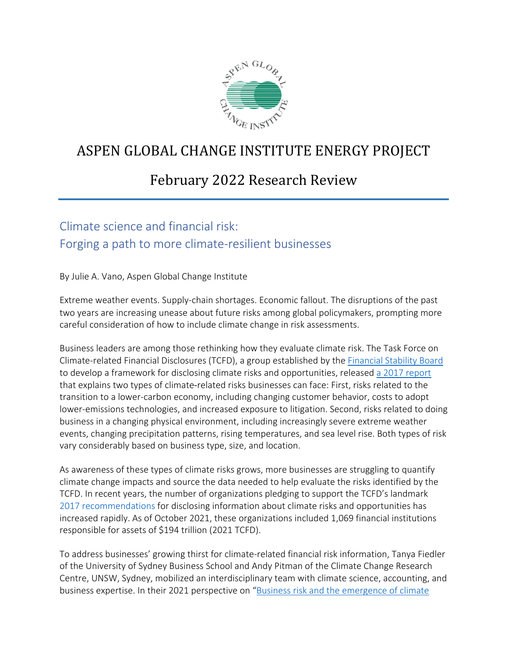

# ASPEN GLOBAL CHANGE INSTITUTE ENERGY PROJECT

## February 2022 Research Review

## Climate science and financial risk: Forging a path to more climate-resilient businesses

By Julie A. Vano, Aspen Global Change Institute

Extreme weather events. Supply-chain shortages. Economic fallout. The disruptions of the past two years are increasing unease about future risks among global policymakers, prompting more careful consideration of how to include climate change in risk assessments.

Business leaders are among those rethinking how they evaluate climate risk. The Task Force on Climate-related Financial Disclosures (TCFD), a group established by the [Financial Stability Board](https://www.fsb.org/) to develop a framework for disclosing climate risks and opportunities, released [a 2017 report](https://www.fsb-tcfd.org/recommendations) that explains two types of climate-related risks businesses can face: First, risks related to the transition to a lower-carbon economy, including changing customer behavior, costs to adopt lower-emissions technologies, and increased exposure to litigation. Second, risks related to doing business in a changing physical environment, including increasingly severe extreme weather events, changing precipitation patterns, rising temperatures, and sea level rise. Both types of risk vary considerably based on business type, size, and location.

As awareness of these types of climate risks grows, more businesses are struggling to quantify climate change impacts and source the data needed to help evaluate the risks identified by the TCFD. In recent years, the number of organizations pledging to support the TCFD's landmark [2017 recommendations](https://assets.bbhub.io/company/sites/60/2021/10/FINAL-2017-TCFD-Report.pdf) for disclosing information about climate risks and opportunities has increased rapidly. As of October 2021, these organizations included 1,069 financial institutions responsible for assets of \$194 trillion (2021 TCFD).

To address businesses' growing thirst for climate-related financial risk information, Tanya Fiedler of the University of Sydney Business School and Andy Pitman of the Climate Change Research Centre, UNSW, Sydney, mobilized an interdisciplinary team with climate science, accounting, and business expertise. In their 2021 perspective on ["Business risk and the emergence of climate](https://www.nature.com/articles/s41558-020-00984-6)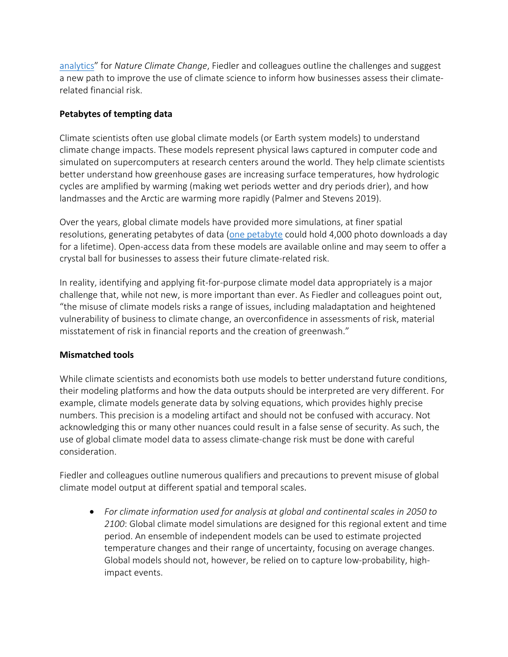[analytics"](https://www.nature.com/articles/s41558-020-00984-6) for *Nature Climate Change*, Fiedler and colleagues outline the challenges and suggest a new path to improve the use of climate science to inform how businesses assess their climaterelated financial risk.

### **Petabytes of tempting data**

Climate scientists often use global climate models (or Earth system models) to understand climate change impacts. These models represent physical laws captured in computer code and simulated on supercomputers at research centers around the world. They help climate scientists better understand how greenhouse gases are increasing surface temperatures, how hydrologic cycles are amplified by warming (making wet periods wetter and dry periods drier), and how landmasses and the Arctic are warming more rapidly (Palmer and Stevens 2019).

Over the years, global climate models have provided more simulations, at finer spatial resolutions, generating petabytes of data [\(one petabyte](https://www.lifewire.com/terabytes-gigabytes-amp-petabytes-how-big-are-they-4125169) could hold 4,000 photo downloads a day for a lifetime). Open-access data from these models are available online and may seem to offer a crystal ball for businesses to assess their future climate-related risk.

In reality, identifying and applying fit-for-purpose climate model data appropriately is a major challenge that, while not new, is more important than ever. As Fiedler and colleagues point out, "the misuse of climate models risks a range of issues, including maladaptation and heightened vulnerability of business to climate change, an overconfidence in assessments of risk, material misstatement of risk in financial reports and the creation of greenwash."

## **Mismatched tools**

While climate scientists and economists both use models to better understand future conditions, their modeling platforms and how the data outputs should be interpreted are very different. For example, climate models generate data by solving equations, which provides highly precise numbers. This precision is a modeling artifact and should not be confused with accuracy. Not acknowledging this or many other nuances could result in a false sense of security. As such, the use of global climate model data to assess climate-change risk must be done with careful consideration.

Fiedler and colleagues outline numerous qualifiers and precautions to prevent misuse of global climate model output at different spatial and temporal scales.

• *For climate information used for analysis at global and continental scales in 2050 to 2100*: Global climate model simulations are designed for this regional extent and time period. An ensemble of independent models can be used to estimate projected temperature changes and their range of uncertainty, focusing on average changes. Global models should not, however, be relied on to capture low-probability, highimpact events.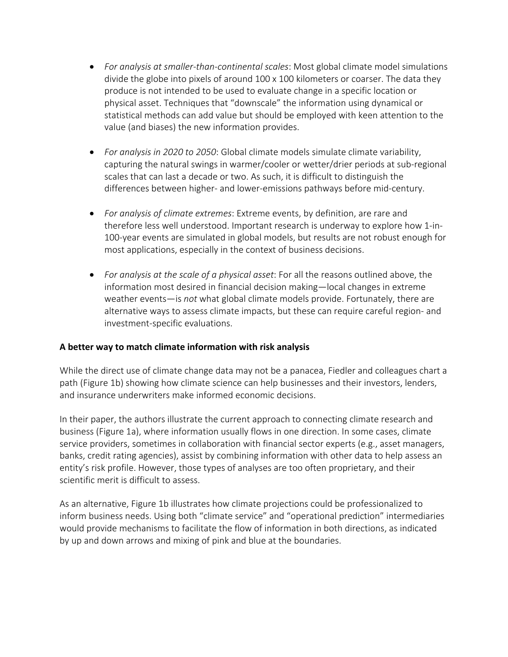- *For analysis at smaller-than-continental scales*: Most global climate model simulations divide the globe into pixels of around 100 x 100 kilometers or coarser. The data they produce is not intended to be used to evaluate change in a specific location or physical asset. Techniques that "downscale" the information using dynamical or statistical methods can add value but should be employed with keen attention to the value (and biases) the new information provides.
- *For analysis in 2020 to 2050*: Global climate models simulate climate variability, capturing the natural swings in warmer/cooler or wetter/drier periods at sub-regional scales that can last a decade or two. As such, it is difficult to distinguish the differences between higher- and lower-emissions pathways before mid-century.
- *For analysis of climate extremes*: Extreme events, by definition, are rare and therefore less well understood. Important research is underway to explore how 1-in-100-year events are simulated in global models, but results are not robust enough for most applications, especially in the context of business decisions.
- *For analysis at the scale of a physical asset*: For all the reasons outlined above, the information most desired in financial decision making—local changes in extreme weather events—is *not* what global climate models provide. Fortunately, there are alternative ways to assess climate impacts, but these can require careful region- and investment-specific evaluations.

### **A better way to match climate information with risk analysis**

While the direct use of climate change data may not be a panacea, Fiedler and colleagues chart a path (Figure 1b) showing how climate science can help businesses and their investors, lenders, and insurance underwriters make informed economic decisions.

In their paper, the authors illustrate the current approach to connecting climate research and business (Figure 1a), where information usually flows in one direction. In some cases, climate service providers, sometimes in collaboration with financial sector experts (e.g., asset managers, banks, credit rating agencies), assist by combining information with other data to help assess an entity's risk profile. However, those types of analyses are too often proprietary, and their scientific merit is difficult to assess.

As an alternative, Figure 1b illustrates how climate projections could be professionalized to inform business needs. Using both "climate service" and "operational prediction" intermediaries would provide mechanisms to facilitate the flow of information in both directions, as indicated by up and down arrows and mixing of pink and blue at the boundaries.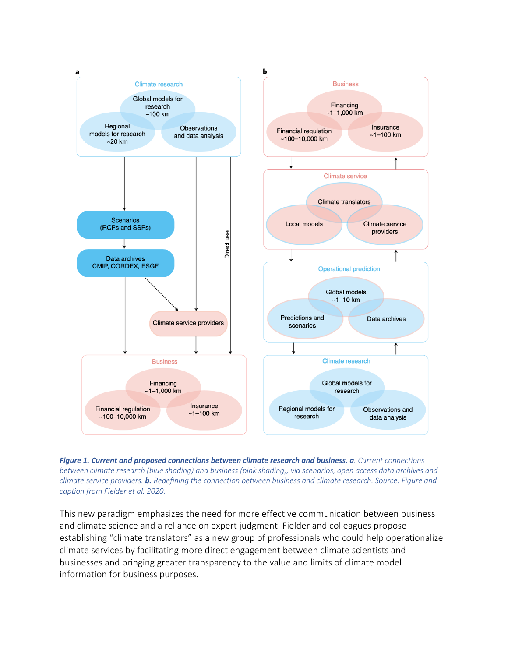



This new paradigm emphasizes the need for more effective communication between business and climate science and a reliance on expert judgment. Fielder and colleagues propose establishing "climate translators" as a new group of professionals who could help operationalize climate services by facilitating more direct engagement between climate scientists and businesses and bringing greater transparency to the value and limits of climate model information for business purposes.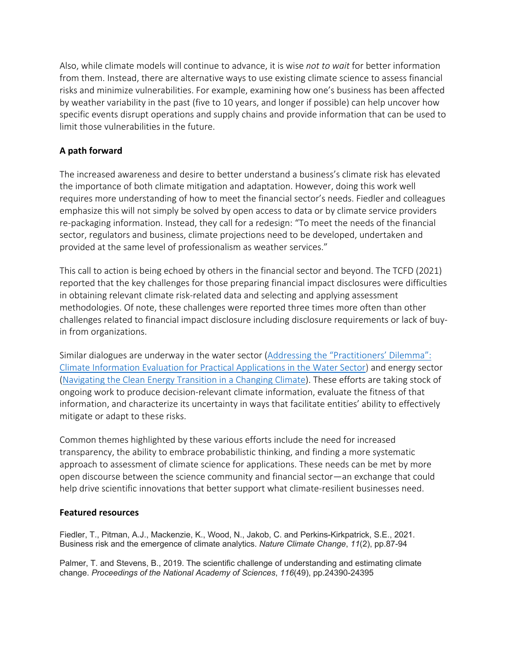Also, while climate models will continue to advance, it is wise *not to wait* for better information from them. Instead, there are alternative ways to use existing climate science to assess financial risks and minimize vulnerabilities. For example, examining how one's business has been affected by weather variability in the past (five to 10 years, and longer if possible) can help uncover how specific events disrupt operations and supply chains and provide information that can be used to limit those vulnerabilities in the future.

### **A path forward**

The increased awareness and desire to better understand a business's climate risk has elevated the importance of both climate mitigation and adaptation. However, doing this work well requires more understanding of how to meet the financial sector's needs. Fiedler and colleagues emphasize this will not simply be solved by open access to data or by climate service providers re-packaging information. Instead, they call for a redesign: "To meet the needs of the financial sector, regulators and business, climate projections need to be developed, undertaken and provided at the same level of professionalism as weather services."

This call to action is being echoed by others in the financial sector and beyond. The TCFD (2021) reported that the key challenges for those preparing financial impact disclosures were difficulties in obtaining relevant climate risk-related data and selecting and applying assessment methodologies. Of note, these challenges were reported three times more often than other challenges related to financial impact disclosure including disclosure requirements or lack of buyin from organizations.

Similar dialogues are underway in the water sector [\(Addressing the "Practitioners' Dilemma":](https://www.agci.org/event/20s2)  [Climate Information Evaluation for Practical Applications in the Water Sector\)](https://www.agci.org/event/20s2) and energy sector [\(Navigating the Clean Energy Transition in a Changing Climate\)](https://www.agci.org/event/21s3). These efforts are taking stock of ongoing work to produce decision-relevant climate information, evaluate the fitness of that information, and characterize its uncertainty in ways that facilitate entities' ability to effectively mitigate or adapt to these risks.

Common themes highlighted by these various efforts include the need for increased transparency, the ability to embrace probabilistic thinking, and finding a more systematic approach to assessment of climate science for applications. These needs can be met by more open discourse between the science community and financial sector—an exchange that could help drive scientific innovations that better support what climate-resilient businesses need.

### **Featured resources**

Fiedler, T., Pitman, A.J., Mackenzie, K., Wood, N., Jakob, C. and Perkins-Kirkpatrick, S.E., 2021. Business risk and the emergence of climate analytics. *Nature Climate Change*, *11*(2), pp.87-94

Palmer, T. and Stevens, B., 2019. The scientific challenge of understanding and estimating climate change. *Proceedings of the National Academy of Sciences*, *116*(49), pp.24390-24395